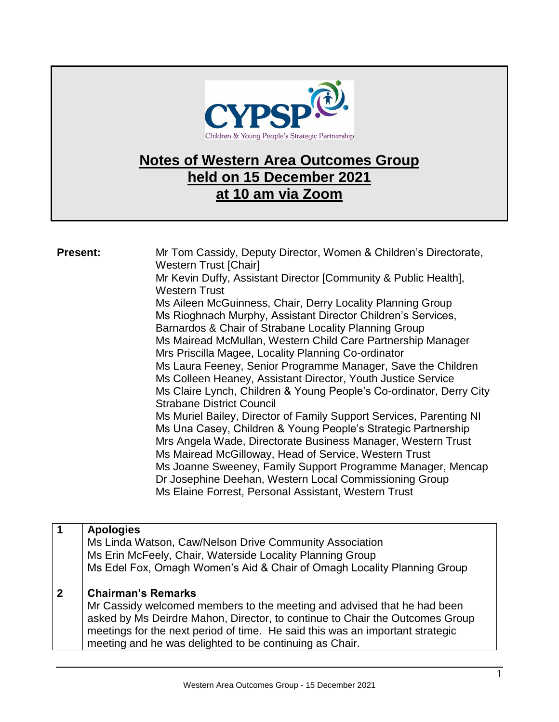

## **Notes of Western Area Outcomes Group held on 15 December 2021 at 10 am via Zoom**

| <b>Present:</b>                 | Mr Tom Cassidy, Deputy Director, Women & Children's Directorate,<br><b>Western Trust [Chair]</b><br>Mr Kevin Duffy, Assistant Director [Community & Public Health],<br><b>Western Trust</b><br>Ms Aileen McGuinness, Chair, Derry Locality Planning Group<br>Ms Rioghnach Murphy, Assistant Director Children's Services,<br>Barnardos & Chair of Strabane Locality Planning Group<br>Ms Mairead McMullan, Western Child Care Partnership Manager<br>Mrs Priscilla Magee, Locality Planning Co-ordinator<br>Ms Laura Feeney, Senior Programme Manager, Save the Children<br>Ms Colleen Heaney, Assistant Director, Youth Justice Service<br>Ms Claire Lynch, Children & Young People's Co-ordinator, Derry City<br><b>Strabane District Council</b><br>Ms Muriel Bailey, Director of Family Support Services, Parenting NI<br>Ms Una Casey, Children & Young People's Strategic Partnership<br>Mrs Angela Wade, Directorate Business Manager, Western Trust<br>Ms Mairead McGilloway, Head of Service, Western Trust<br>Ms Joanne Sweeney, Family Support Programme Manager, Mencap<br>Dr Josephine Deehan, Western Local Commissioning Group<br>Ms Elaine Forrest, Personal Assistant, Western Trust |
|---------------------------------|-------------------------------------------------------------------------------------------------------------------------------------------------------------------------------------------------------------------------------------------------------------------------------------------------------------------------------------------------------------------------------------------------------------------------------------------------------------------------------------------------------------------------------------------------------------------------------------------------------------------------------------------------------------------------------------------------------------------------------------------------------------------------------------------------------------------------------------------------------------------------------------------------------------------------------------------------------------------------------------------------------------------------------------------------------------------------------------------------------------------------------------------------------------------------------------------------------|
| $\mathbf 1$<br><b>Apologies</b> | Ms Linda Watson, Caw/Nelson Drive Community Association                                                                                                                                                                                                                                                                                                                                                                                                                                                                                                                                                                                                                                                                                                                                                                                                                                                                                                                                                                                                                                                                                                                                               |

|             | Ms Linda Watson, Caw/Nelson Drive Community Association<br>Ms Erin McFeely, Chair, Waterside Locality Planning Group<br>Ms Edel Fox, Omagh Women's Aid & Chair of Omagh Locality Planning Group                                                                                                                                  |
|-------------|----------------------------------------------------------------------------------------------------------------------------------------------------------------------------------------------------------------------------------------------------------------------------------------------------------------------------------|
| $\mathbf 2$ | <b>Chairman's Remarks</b><br>Mr Cassidy welcomed members to the meeting and advised that he had been<br>asked by Ms Deirdre Mahon, Director, to continue to Chair the Outcomes Group<br>meetings for the next period of time. He said this was an important strategic<br>meeting and he was delighted to be continuing as Chair. |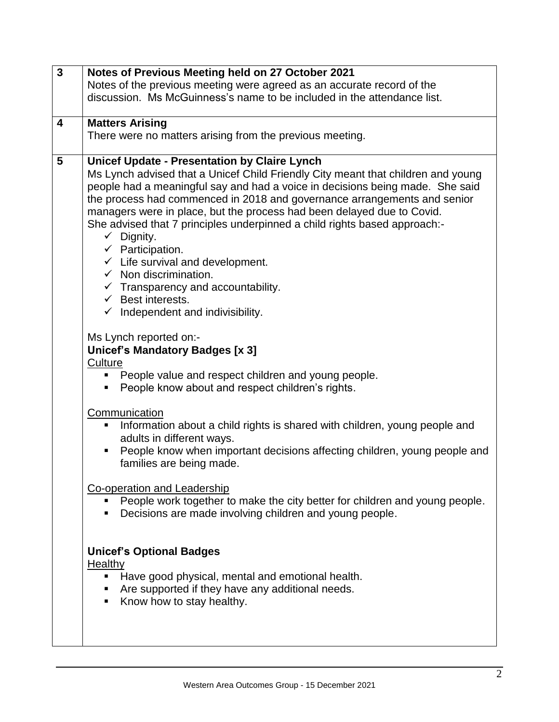| $\overline{\mathbf{3}}$ | Notes of Previous Meeting held on 27 October 2021                                                           |
|-------------------------|-------------------------------------------------------------------------------------------------------------|
|                         | Notes of the previous meeting were agreed as an accurate record of the                                      |
|                         | discussion. Ms McGuinness's name to be included in the attendance list.                                     |
|                         |                                                                                                             |
| $\overline{\mathbf{4}}$ | <b>Matters Arising</b>                                                                                      |
|                         | There were no matters arising from the previous meeting.                                                    |
|                         |                                                                                                             |
| 5                       | <b>Unicef Update - Presentation by Claire Lynch</b>                                                         |
|                         | Ms Lynch advised that a Unicef Child Friendly City meant that children and young                            |
|                         | people had a meaningful say and had a voice in decisions being made. She said                               |
|                         | the process had commenced in 2018 and governance arrangements and senior                                    |
|                         | managers were in place, but the process had been delayed due to Covid.                                      |
|                         | She advised that 7 principles underpinned a child rights based approach:-                                   |
|                         | $\checkmark$ Dignity.                                                                                       |
|                         | $\checkmark$ Participation.                                                                                 |
|                         | $\checkmark$ Life survival and development.                                                                 |
|                         | $\checkmark$ Non discrimination.                                                                            |
|                         | $\checkmark$ Transparency and accountability.                                                               |
|                         | $\checkmark$ Best interests.                                                                                |
|                         | $\checkmark$ Independent and indivisibility.                                                                |
|                         |                                                                                                             |
|                         | Ms Lynch reported on:-                                                                                      |
|                         | <b>Unicef's Mandatory Badges [x 3]</b>                                                                      |
|                         | Culture                                                                                                     |
|                         | People value and respect children and young people.                                                         |
|                         | People know about and respect children's rights.<br>ш                                                       |
|                         |                                                                                                             |
|                         | Communication                                                                                               |
|                         | Information about a child rights is shared with children, young people and<br>ш                             |
|                         | adults in different ways.<br>People know when important decisions affecting children, young people and<br>п |
|                         | families are being made.                                                                                    |
|                         |                                                                                                             |
|                         | <b>Co-operation and Leadership</b>                                                                          |
|                         | People work together to make the city better for children and young people.                                 |
|                         | • Decisions are made involving children and young people.                                                   |
|                         |                                                                                                             |
|                         |                                                                                                             |
|                         | <b>Unicef's Optional Badges</b>                                                                             |
|                         | <b>Healthy</b>                                                                                              |
|                         | Have good physical, mental and emotional health.<br>٠                                                       |
|                         | Are supported if they have any additional needs.                                                            |
|                         | Know how to stay healthy.<br>٠                                                                              |
|                         |                                                                                                             |
|                         |                                                                                                             |
|                         |                                                                                                             |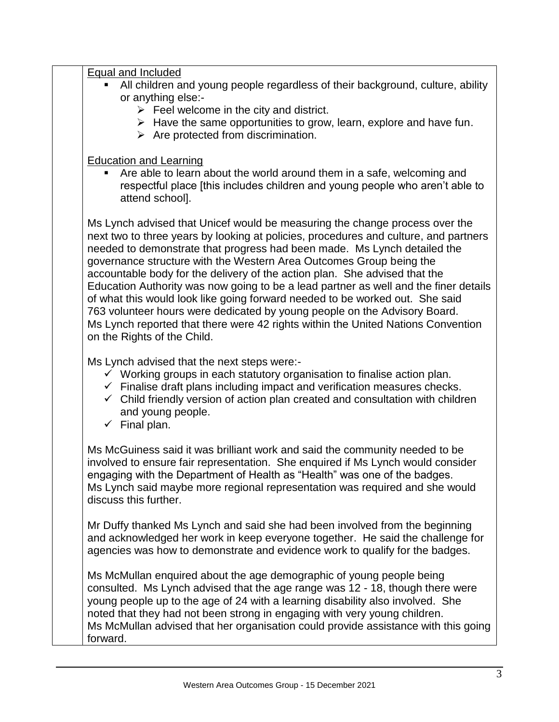| Equal and Included<br>All children and young people regardless of their background, culture, ability<br>or anything else:-<br>$\triangleright$ Feel welcome in the city and district.<br>$\triangleright$ Have the same opportunities to grow, learn, explore and have fun.<br>$\triangleright$ Are protected from discrimination.                                                                                                                                                                                                                                                                                                                                                                                                                                           |
|------------------------------------------------------------------------------------------------------------------------------------------------------------------------------------------------------------------------------------------------------------------------------------------------------------------------------------------------------------------------------------------------------------------------------------------------------------------------------------------------------------------------------------------------------------------------------------------------------------------------------------------------------------------------------------------------------------------------------------------------------------------------------|
| <b>Education and Learning</b><br>Are able to learn about the world around them in a safe, welcoming and<br>respectful place [this includes children and young people who aren't able to<br>attend school].                                                                                                                                                                                                                                                                                                                                                                                                                                                                                                                                                                   |
| Ms Lynch advised that Unicef would be measuring the change process over the<br>next two to three years by looking at policies, procedures and culture, and partners<br>needed to demonstrate that progress had been made. Ms Lynch detailed the<br>governance structure with the Western Area Outcomes Group being the<br>accountable body for the delivery of the action plan. She advised that the<br>Education Authority was now going to be a lead partner as well and the finer details<br>of what this would look like going forward needed to be worked out. She said<br>763 volunteer hours were dedicated by young people on the Advisory Board.<br>Ms Lynch reported that there were 42 rights within the United Nations Convention<br>on the Rights of the Child. |
| Ms Lynch advised that the next steps were:-<br>$\checkmark$ Working groups in each statutory organisation to finalise action plan.<br>$\checkmark$ Finalise draft plans including impact and verification measures checks.<br>$\checkmark$ Child friendly version of action plan created and consultation with children<br>and young people.<br>$\checkmark$ Final plan.                                                                                                                                                                                                                                                                                                                                                                                                     |
| Ms McGuiness said it was brilliant work and said the community needed to be<br>involved to ensure fair representation. She enquired if Ms Lynch would consider<br>engaging with the Department of Health as "Health" was one of the badges.<br>Ms Lynch said maybe more regional representation was required and she would<br>discuss this further.                                                                                                                                                                                                                                                                                                                                                                                                                          |
| Mr Duffy thanked Ms Lynch and said she had been involved from the beginning<br>and acknowledged her work in keep everyone together. He said the challenge for<br>agencies was how to demonstrate and evidence work to qualify for the badges.                                                                                                                                                                                                                                                                                                                                                                                                                                                                                                                                |
| Ms McMullan enquired about the age demographic of young people being<br>consulted. Ms Lynch advised that the age range was 12 - 18, though there were<br>young people up to the age of 24 with a learning disability also involved. She<br>noted that they had not been strong in engaging with very young children.<br>Ms McMullan advised that her organisation could provide assistance with this going<br>forward.                                                                                                                                                                                                                                                                                                                                                       |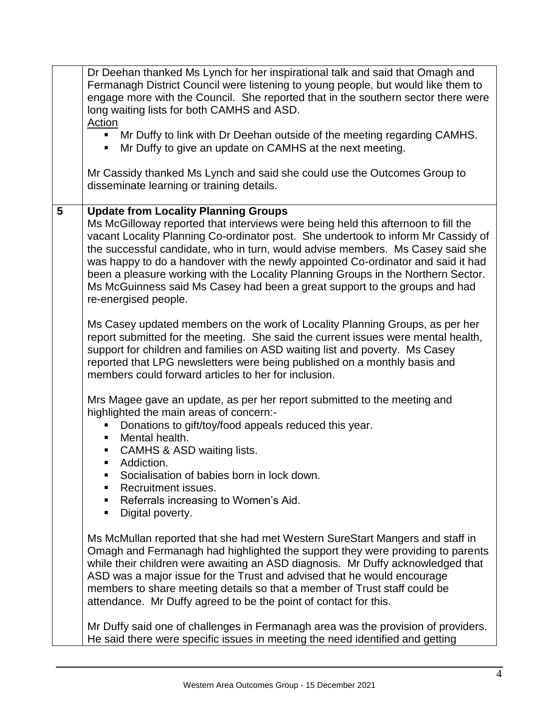|                 | Dr Deehan thanked Ms Lynch for her inspirational talk and said that Omagh and<br>Fermanagh District Council were listening to young people, but would like them to<br>engage more with the Council. She reported that in the southern sector there were<br>long waiting lists for both CAMHS and ASD.<br>Action<br>• Mr Duffy to link with Dr Deehan outside of the meeting regarding CAMHS.<br>Mr Duffy to give an update on CAMHS at the next meeting.<br>Mr Cassidy thanked Ms Lynch and said she could use the Outcomes Group to<br>disseminate learning or training details.                                                                                                                                                                                                                                                                                                                                                                                                                                                                                                                                                                                                                                                                                                                                                                                                                                                                                                                                                                                                                                                                                                                                                                                                                                                                                  |
|-----------------|--------------------------------------------------------------------------------------------------------------------------------------------------------------------------------------------------------------------------------------------------------------------------------------------------------------------------------------------------------------------------------------------------------------------------------------------------------------------------------------------------------------------------------------------------------------------------------------------------------------------------------------------------------------------------------------------------------------------------------------------------------------------------------------------------------------------------------------------------------------------------------------------------------------------------------------------------------------------------------------------------------------------------------------------------------------------------------------------------------------------------------------------------------------------------------------------------------------------------------------------------------------------------------------------------------------------------------------------------------------------------------------------------------------------------------------------------------------------------------------------------------------------------------------------------------------------------------------------------------------------------------------------------------------------------------------------------------------------------------------------------------------------------------------------------------------------------------------------------------------------|
| $5\phantom{.0}$ | <b>Update from Locality Planning Groups</b><br>Ms McGilloway reported that interviews were being held this afternoon to fill the<br>vacant Locality Planning Co-ordinator post. She undertook to inform Mr Cassidy of<br>the successful candidate, who in turn, would advise members. Ms Casey said she<br>was happy to do a handover with the newly appointed Co-ordinator and said it had<br>been a pleasure working with the Locality Planning Groups in the Northern Sector.<br>Ms McGuinness said Ms Casey had been a great support to the groups and had<br>re-energised people.<br>Ms Casey updated members on the work of Locality Planning Groups, as per her<br>report submitted for the meeting. She said the current issues were mental health,<br>support for children and families on ASD waiting list and poverty. Ms Casey<br>reported that LPG newsletters were being published on a monthly basis and<br>members could forward articles to her for inclusion.<br>Mrs Magee gave an update, as per her report submitted to the meeting and<br>highlighted the main areas of concern:-<br>Donations to gift/toy/food appeals reduced this year.<br>Mental health.<br>ш<br>• CAMHS & ASD waiting lists.<br>• Addiction.<br>Socialisation of babies born in lock down.<br>Recruitment issues.<br>٠<br>Referrals increasing to Women's Aid.<br>Digital poverty.<br>٠<br>Ms McMullan reported that she had met Western SureStart Mangers and staff in<br>Omagh and Fermanagh had highlighted the support they were providing to parents<br>while their children were awaiting an ASD diagnosis. Mr Duffy acknowledged that<br>ASD was a major issue for the Trust and advised that he would encourage<br>members to share meeting details so that a member of Trust staff could be<br>attendance. Mr Duffy agreed to be the point of contact for this. |
|                 | Mr Duffy said one of challenges in Fermanagh area was the provision of providers.<br>He said there were specific issues in meeting the need identified and getting                                                                                                                                                                                                                                                                                                                                                                                                                                                                                                                                                                                                                                                                                                                                                                                                                                                                                                                                                                                                                                                                                                                                                                                                                                                                                                                                                                                                                                                                                                                                                                                                                                                                                                 |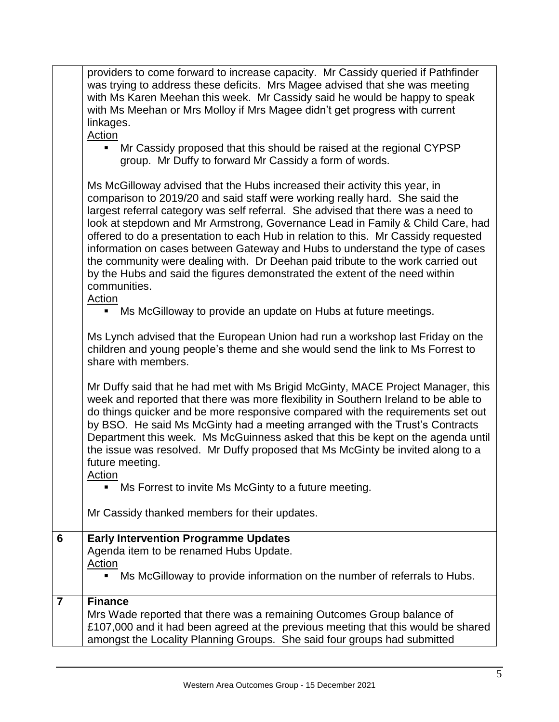|                 | providers to come forward to increase capacity. Mr Cassidy queried if Pathfinder<br>was trying to address these deficits. Mrs Magee advised that she was meeting<br>with Ms Karen Meehan this week. Mr Cassidy said he would be happy to speak<br>with Ms Meehan or Mrs Molloy if Mrs Magee didn't get progress with current<br>linkages.<br>Action<br>Mr Cassidy proposed that this should be raised at the regional CYPSP<br>π.<br>group. Mr Duffy to forward Mr Cassidy a form of words.                                                                                                                                                                                               |
|-----------------|-------------------------------------------------------------------------------------------------------------------------------------------------------------------------------------------------------------------------------------------------------------------------------------------------------------------------------------------------------------------------------------------------------------------------------------------------------------------------------------------------------------------------------------------------------------------------------------------------------------------------------------------------------------------------------------------|
|                 | Ms McGilloway advised that the Hubs increased their activity this year, in<br>comparison to 2019/20 and said staff were working really hard. She said the<br>largest referral category was self referral. She advised that there was a need to<br>look at stepdown and Mr Armstrong, Governance Lead in Family & Child Care, had<br>offered to do a presentation to each Hub in relation to this. Mr Cassidy requested<br>information on cases between Gateway and Hubs to understand the type of cases<br>the community were dealing with. Dr Deehan paid tribute to the work carried out<br>by the Hubs and said the figures demonstrated the extent of the need within<br>communities. |
|                 | <b>Action</b><br>Ms McGilloway to provide an update on Hubs at future meetings.<br>ш                                                                                                                                                                                                                                                                                                                                                                                                                                                                                                                                                                                                      |
|                 | Ms Lynch advised that the European Union had run a workshop last Friday on the<br>children and young people's theme and she would send the link to Ms Forrest to<br>share with members.                                                                                                                                                                                                                                                                                                                                                                                                                                                                                                   |
|                 | Mr Duffy said that he had met with Ms Brigid McGinty, MACE Project Manager, this<br>week and reported that there was more flexibility in Southern Ireland to be able to<br>do things quicker and be more responsive compared with the requirements set out<br>by BSO. He said Ms McGinty had a meeting arranged with the Trust's Contracts<br>Department this week. Ms McGuinness asked that this be kept on the agenda until<br>the issue was resolved. Mr Duffy proposed that Ms McGinty be invited along to a<br>future meeting.<br><b>Action</b>                                                                                                                                      |
|                 | Ms Forrest to invite Ms McGinty to a future meeting.                                                                                                                                                                                                                                                                                                                                                                                                                                                                                                                                                                                                                                      |
|                 | Mr Cassidy thanked members for their updates.                                                                                                                                                                                                                                                                                                                                                                                                                                                                                                                                                                                                                                             |
| $6\phantom{1}6$ | <b>Early Intervention Programme Updates</b>                                                                                                                                                                                                                                                                                                                                                                                                                                                                                                                                                                                                                                               |
|                 | Agenda item to be renamed Hubs Update.                                                                                                                                                                                                                                                                                                                                                                                                                                                                                                                                                                                                                                                    |
|                 | Action<br>Ms McGilloway to provide information on the number of referrals to Hubs.                                                                                                                                                                                                                                                                                                                                                                                                                                                                                                                                                                                                        |
| $\overline{7}$  | <b>Finance</b>                                                                                                                                                                                                                                                                                                                                                                                                                                                                                                                                                                                                                                                                            |
|                 | Mrs Wade reported that there was a remaining Outcomes Group balance of<br>£107,000 and it had been agreed at the previous meeting that this would be shared<br>amongst the Locality Planning Groups. She said four groups had submitted                                                                                                                                                                                                                                                                                                                                                                                                                                                   |
|                 |                                                                                                                                                                                                                                                                                                                                                                                                                                                                                                                                                                                                                                                                                           |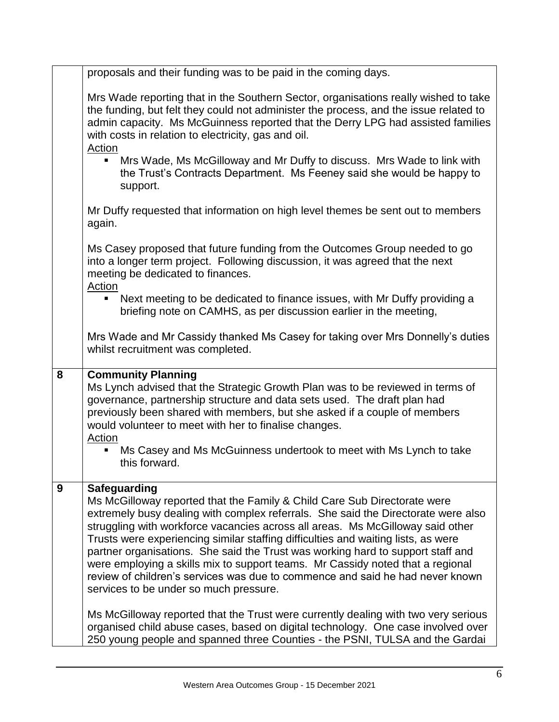|   | proposals and their funding was to be paid in the coming days.                                                                                                                                                                                                                                                                                                                                                                                                                                                                                                                                                                                              |
|---|-------------------------------------------------------------------------------------------------------------------------------------------------------------------------------------------------------------------------------------------------------------------------------------------------------------------------------------------------------------------------------------------------------------------------------------------------------------------------------------------------------------------------------------------------------------------------------------------------------------------------------------------------------------|
|   | Mrs Wade reporting that in the Southern Sector, organisations really wished to take<br>the funding, but felt they could not administer the process, and the issue related to<br>admin capacity. Ms McGuinness reported that the Derry LPG had assisted families<br>with costs in relation to electricity, gas and oil.<br>Action                                                                                                                                                                                                                                                                                                                            |
|   | Mrs Wade, Ms McGilloway and Mr Duffy to discuss. Mrs Wade to link with<br>the Trust's Contracts Department. Ms Feeney said she would be happy to<br>support.                                                                                                                                                                                                                                                                                                                                                                                                                                                                                                |
|   | Mr Duffy requested that information on high level themes be sent out to members<br>again.                                                                                                                                                                                                                                                                                                                                                                                                                                                                                                                                                                   |
|   | Ms Casey proposed that future funding from the Outcomes Group needed to go<br>into a longer term project. Following discussion, it was agreed that the next<br>meeting be dedicated to finances.<br>Action                                                                                                                                                                                                                                                                                                                                                                                                                                                  |
|   | Next meeting to be dedicated to finance issues, with Mr Duffy providing a<br>٠<br>briefing note on CAMHS, as per discussion earlier in the meeting,                                                                                                                                                                                                                                                                                                                                                                                                                                                                                                         |
|   | Mrs Wade and Mr Cassidy thanked Ms Casey for taking over Mrs Donnelly's duties<br>whilst recruitment was completed.                                                                                                                                                                                                                                                                                                                                                                                                                                                                                                                                         |
| 8 | <b>Community Planning</b>                                                                                                                                                                                                                                                                                                                                                                                                                                                                                                                                                                                                                                   |
|   | Ms Lynch advised that the Strategic Growth Plan was to be reviewed in terms of<br>governance, partnership structure and data sets used. The draft plan had<br>previously been shared with members, but she asked if a couple of members<br>would volunteer to meet with her to finalise changes.<br>Action                                                                                                                                                                                                                                                                                                                                                  |
|   | Ms Casey and Ms McGuinness undertook to meet with Ms Lynch to take<br>this forward.                                                                                                                                                                                                                                                                                                                                                                                                                                                                                                                                                                         |
| 9 | <b>Safeguarding</b><br>Ms McGilloway reported that the Family & Child Care Sub Directorate were<br>extremely busy dealing with complex referrals. She said the Directorate were also<br>struggling with workforce vacancies across all areas. Ms McGilloway said other<br>Trusts were experiencing similar staffing difficulties and waiting lists, as were<br>partner organisations. She said the Trust was working hard to support staff and<br>were employing a skills mix to support teams. Mr Cassidy noted that a regional<br>review of children's services was due to commence and said he had never known<br>services to be under so much pressure. |
|   | Ms McGilloway reported that the Trust were currently dealing with two very serious<br>organised child abuse cases, based on digital technology. One case involved over<br>250 young people and spanned three Counties - the PSNI, TULSA and the Gardai                                                                                                                                                                                                                                                                                                                                                                                                      |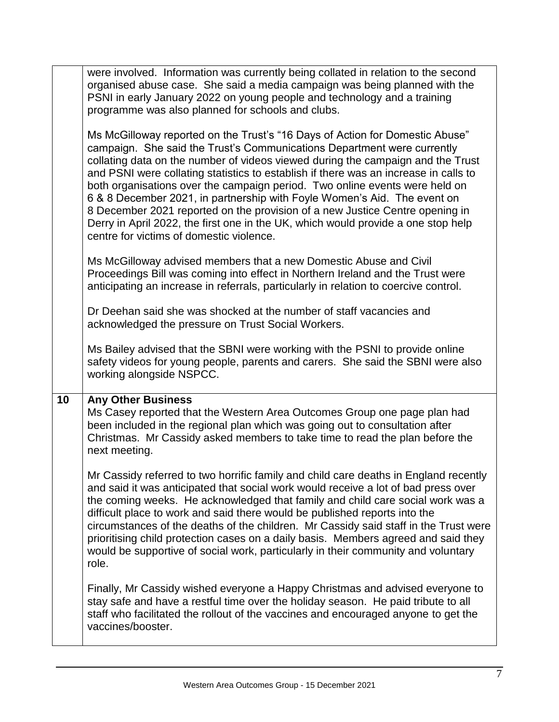|    | were involved. Information was currently being collated in relation to the second<br>organised abuse case. She said a media campaign was being planned with the<br>PSNI in early January 2022 on young people and technology and a training<br>programme was also planned for schools and clubs.                                                                                                                                                                                                                                                                                                                                                                                                               |
|----|----------------------------------------------------------------------------------------------------------------------------------------------------------------------------------------------------------------------------------------------------------------------------------------------------------------------------------------------------------------------------------------------------------------------------------------------------------------------------------------------------------------------------------------------------------------------------------------------------------------------------------------------------------------------------------------------------------------|
|    | Ms McGilloway reported on the Trust's "16 Days of Action for Domestic Abuse"<br>campaign. She said the Trust's Communications Department were currently<br>collating data on the number of videos viewed during the campaign and the Trust<br>and PSNI were collating statistics to establish if there was an increase in calls to<br>both organisations over the campaign period. Two online events were held on<br>6 & 8 December 2021, in partnership with Foyle Women's Aid. The event on<br>8 December 2021 reported on the provision of a new Justice Centre opening in<br>Derry in April 2022, the first one in the UK, which would provide a one stop help<br>centre for victims of domestic violence. |
|    | Ms McGilloway advised members that a new Domestic Abuse and Civil<br>Proceedings Bill was coming into effect in Northern Ireland and the Trust were<br>anticipating an increase in referrals, particularly in relation to coercive control.                                                                                                                                                                                                                                                                                                                                                                                                                                                                    |
|    | Dr Deehan said she was shocked at the number of staff vacancies and<br>acknowledged the pressure on Trust Social Workers.                                                                                                                                                                                                                                                                                                                                                                                                                                                                                                                                                                                      |
|    | Ms Bailey advised that the SBNI were working with the PSNI to provide online<br>safety videos for young people, parents and carers. She said the SBNI were also<br>working alongside NSPCC.                                                                                                                                                                                                                                                                                                                                                                                                                                                                                                                    |
| 10 | <b>Any Other Business</b><br>Ms Casey reported that the Western Area Outcomes Group one page plan had<br>been included in the regional plan which was going out to consultation after<br>Christmas. Mr Cassidy asked members to take time to read the plan before the<br>next meeting.                                                                                                                                                                                                                                                                                                                                                                                                                         |
|    | Mr Cassidy referred to two horrific family and child care deaths in England recently<br>and said it was anticipated that social work would receive a lot of bad press over<br>the coming weeks. He acknowledged that family and child care social work was a<br>difficult place to work and said there would be published reports into the<br>circumstances of the deaths of the children. Mr Cassidy said staff in the Trust were<br>prioritising child protection cases on a daily basis. Members agreed and said they<br>would be supportive of social work, particularly in their community and voluntary<br>role.                                                                                         |
|    | Finally, Mr Cassidy wished everyone a Happy Christmas and advised everyone to<br>stay safe and have a restful time over the holiday season. He paid tribute to all<br>staff who facilitated the rollout of the vaccines and encouraged anyone to get the<br>vaccines/booster.                                                                                                                                                                                                                                                                                                                                                                                                                                  |